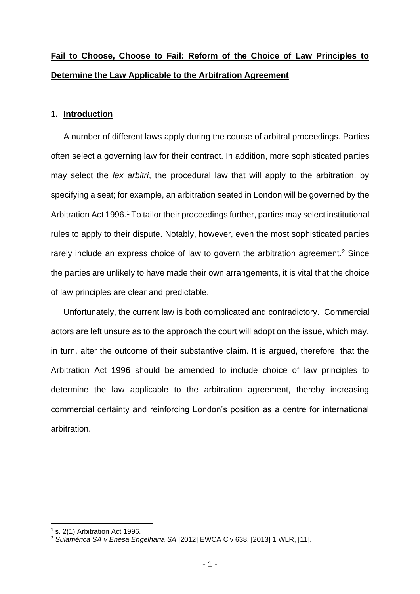# **Fail to Choose, Choose to Fail: Reform of the Choice of Law Principles to Determine the Law Applicable to the Arbitration Agreement**

# **1. Introduction**

A number of different laws apply during the course of arbitral proceedings. Parties often select a governing law for their contract. In addition, more sophisticated parties may select the *lex arbitri*, the procedural law that will apply to the arbitration, by specifying a seat; for example, an arbitration seated in London will be governed by the Arbitration Act 1996.<sup>1</sup> To tailor their proceedings further, parties may select institutional rules to apply to their dispute. Notably, however, even the most sophisticated parties rarely include an express choice of law to govern the arbitration agreement.<sup>2</sup> Since the parties are unlikely to have made their own arrangements, it is vital that the choice of law principles are clear and predictable.

Unfortunately, the current law is both complicated and contradictory. Commercial actors are left unsure as to the approach the court will adopt on the issue, which may, in turn, alter the outcome of their substantive claim. It is argued, therefore, that the Arbitration Act 1996 should be amended to include choice of law principles to determine the law applicable to the arbitration agreement, thereby increasing commercial certainty and reinforcing London's position as a centre for international arbitration.

 $<sup>1</sup>$  s. 2(1) Arbitration Act 1996.</sup>

<sup>2</sup> *Sulamérica SA v Enesa Engelharia SA* [2012] EWCA Civ 638, [2013] 1 WLR, [11].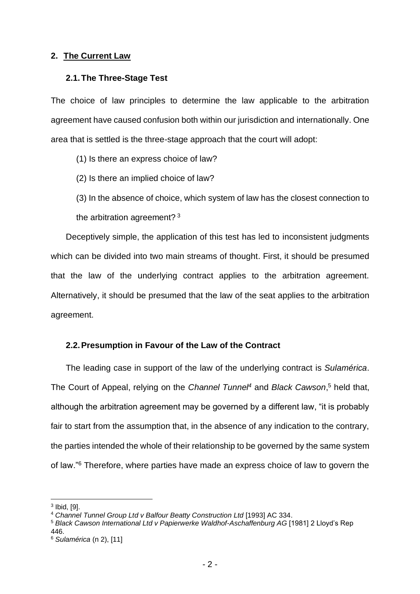## **2. The Current Law**

### **2.1.The Three-Stage Test**

The choice of law principles to determine the law applicable to the arbitration agreement have caused confusion both within our jurisdiction and internationally. One area that is settled is the three-stage approach that the court will adopt:

(1) Is there an express choice of law?

(2) Is there an implied choice of law?

(3) In the absence of choice, which system of law has the closest connection to the arbitration agreement? <sup>3</sup>

Deceptively simple, the application of this test has led to inconsistent judgments which can be divided into two main streams of thought. First, it should be presumed that the law of the underlying contract applies to the arbitration agreement. Alternatively, it should be presumed that the law of the seat applies to the arbitration agreement.

# **2.2.Presumption in Favour of the Law of the Contract**

The leading case in support of the law of the underlying contract is *Sulamérica*. The Court of Appeal, relying on the *Channel Tunnel<sup>4</sup>* and *Black Cawson*, <sup>5</sup> held that, although the arbitration agreement may be governed by a different law, "it is probably fair to start from the assumption that, in the absence of any indication to the contrary, the parties intended the whole of their relationship to be governed by the same system of law."<sup>6</sup> Therefore, where parties have made an express choice of law to govern the

 $^3$  Ibid, [9].  $\,$ 

<sup>4</sup> *Channel Tunnel Group Ltd v Balfour Beatty Construction Ltd* [1993] AC 334.

<sup>5</sup> *Black Cawson International Ltd v Papierwerke Waldhof-Aschaffenburg AG* [1981] 2 Lloyd's Rep 446.

<sup>6</sup> *Sulamérica* (n 2), [11]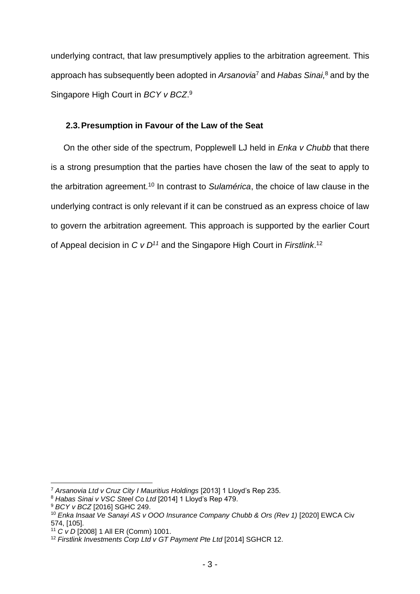underlying contract, that law presumptively applies to the arbitration agreement. This approach has subsequently been adopted in *Arsanovia*<sup>7</sup> and *Habas Sinai,* <sup>8</sup> and by the Singapore High Court in *BCY v BCZ*. 9

# **2.3.Presumption in Favour of the Law of the Seat**

On the other side of the spectrum, Popplewell LJ held in *Enka v Chubb* that there is a strong presumption that the parties have chosen the law of the seat to apply to the arbitration agreement.<sup>10</sup> In contrast to *Sulamérica*, the choice of law clause in the underlying contract is only relevant if it can be construed as an express choice of law to govern the arbitration agreement. This approach is supported by the earlier Court of Appeal decision in *C v D<sup>11</sup>* and the Singapore High Court in *Firstlink*. 12

<sup>7</sup> *Arsanovia Ltd v Cruz City I Mauritius Holdings* [2013] 1 Lloyd's Rep 235.

<sup>8</sup> *Habas Sinai v VSC Steel Co Ltd* [2014] 1 Lloyd's Rep 479.

<sup>9</sup> *BCY v BCZ* [2016] SGHC 249.

<sup>10</sup> *Enka Insaat Ve Sanayi AS v OOO Insurance Company Chubb & Ors (Rev 1)* [2020] EWCA Civ 574, [105].

<sup>11</sup> *C v D* [2008] 1 All ER (Comm) 1001.

<sup>12</sup> *Firstlink Investments Corp Ltd v GT Payment Pte Ltd* [2014] SGHCR 12.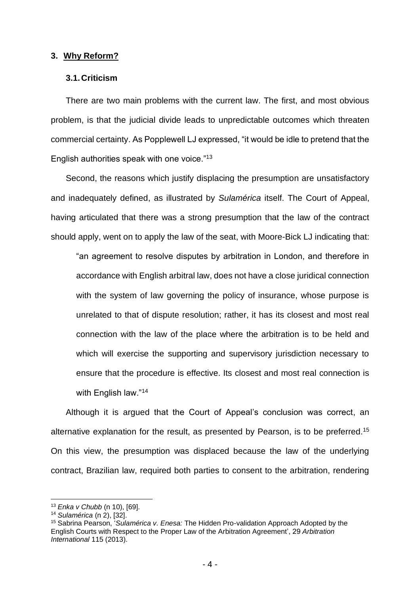#### **3. Why Reform?**

### **3.1.Criticism**

There are two main problems with the current law. The first, and most obvious problem, is that the judicial divide leads to unpredictable outcomes which threaten commercial certainty. As Popplewell LJ expressed, "it would be idle to pretend that the English authorities speak with one voice."<sup>13</sup>

Second, the reasons which justify displacing the presumption are unsatisfactory and inadequately defined, as illustrated by *Sulamérica* itself. The Court of Appeal, having articulated that there was a strong presumption that the law of the contract should apply, went on to apply the law of the seat, with Moore-Bick LJ indicating that:

"an agreement to resolve disputes by arbitration in London, and therefore in accordance with English arbitral law, does not have a close juridical connection with the system of law governing the policy of insurance, whose purpose is unrelated to that of dispute resolution; rather, it has its closest and most real connection with the law of the place where the arbitration is to be held and which will exercise the supporting and supervisory jurisdiction necessary to ensure that the procedure is effective. Its closest and most real connection is with English law."<sup>14</sup>

Although it is argued that the Court of Appeal's conclusion was correct, an alternative explanation for the result, as presented by Pearson, is to be preferred.<sup>15</sup> On this view, the presumption was displaced because the law of the underlying contract, Brazilian law, required both parties to consent to the arbitration, rendering

<sup>13</sup> *Enka v Chubb* (n 10), [69].

<sup>14</sup> *Sulamérica* (n 2), [32].

<sup>15</sup> Sabrina Pearson, '*Sulamérica v. Enesa:* The Hidden Pro-validation Approach Adopted by the English Courts with Respect to the Proper Law of the Arbitration Agreement', 29 *Arbitration International* 115 (2013).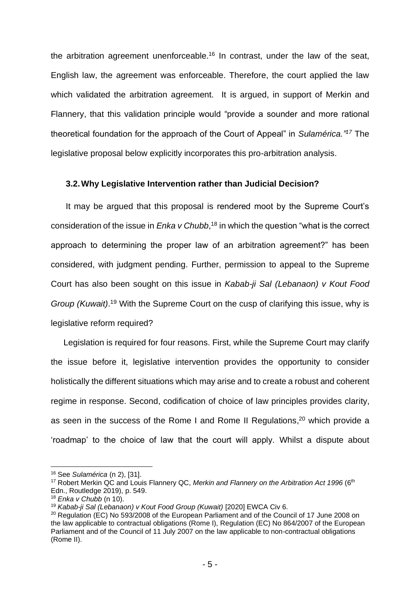the arbitration agreement unenforceable.<sup>16</sup> In contrast, under the law of the seat, English law, the agreement was enforceable. Therefore, the court applied the law which validated the arbitration agreement. It is argued, in support of Merkin and Flannery, that this validation principle would "provide a sounder and more rational theoretical foundation for the approach of the Court of Appeal" in *Sulamérica." <sup>17</sup>* The legislative proposal below explicitly incorporates this pro-arbitration analysis.

## **3.2.Why Legislative Intervention rather than Judicial Decision?**

It may be argued that this proposal is rendered moot by the Supreme Court's consideration of the issue in *Enka v Chubb*, <sup>18</sup> in which the question "what is the correct approach to determining the proper law of an arbitration agreement?" has been considered, with judgment pending. Further, permission to appeal to the Supreme Court has also been sought on this issue in *Kabab-ji Sal (Lebanaon) v Kout Food Group (Kuwait)*. <sup>19</sup> With the Supreme Court on the cusp of clarifying this issue, why is legislative reform required?

Legislation is required for four reasons. First, while the Supreme Court may clarify the issue before it, legislative intervention provides the opportunity to consider holistically the different situations which may arise and to create a robust and coherent regime in response. Second, codification of choice of law principles provides clarity, as seen in the success of the Rome I and Rome II Regulations, $20$  which provide a 'roadmap' to the choice of law that the court will apply. Whilst a dispute about

<sup>16</sup> See *Sulamérica* (n 2), [31].

<sup>&</sup>lt;sup>17</sup> Robert Merkin QC and Louis Flannery QC, *Merkin and Flannery on the Arbitration Act 1996* (6<sup>th</sup> Edn., Routledge 2019), p. 549.

<sup>18</sup> *Enka v Chubb* (n 10).

<sup>19</sup> *Kabab-ji Sal (Lebanaon) v Kout Food Group (Kuwait)* [2020] EWCA Civ 6.

<sup>&</sup>lt;sup>20</sup> Regulation (EC) No 593/2008 of the European Parliament and of the Council of 17 June 2008 on the law applicable to contractual obligations (Rome I), Regulation (EC) No 864/2007 of the European Parliament and of the Council of 11 July 2007 on the law applicable to non-contractual obligations (Rome II).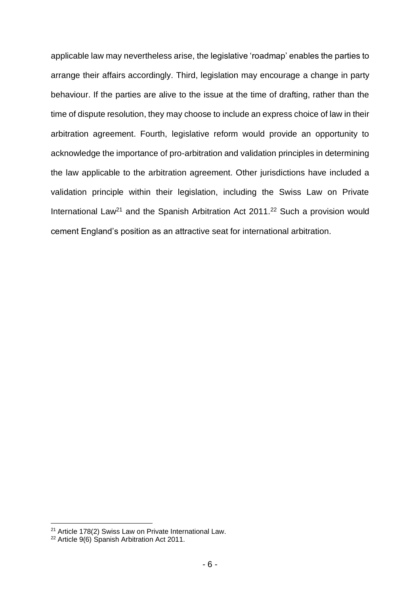applicable law may nevertheless arise, the legislative 'roadmap' enables the parties to arrange their affairs accordingly. Third, legislation may encourage a change in party behaviour. If the parties are alive to the issue at the time of drafting, rather than the time of dispute resolution, they may choose to include an express choice of law in their arbitration agreement. Fourth, legislative reform would provide an opportunity to acknowledge the importance of pro-arbitration and validation principles in determining the law applicable to the arbitration agreement. Other jurisdictions have included a validation principle within their legislation, including the Swiss Law on Private International Law<sup>21</sup> and the Spanish Arbitration Act 2011.<sup>22</sup> Such a provision would cement England's position as an attractive seat for international arbitration.

<sup>&</sup>lt;sup>21</sup> Article 178(2) Swiss Law on Private International Law.

<sup>&</sup>lt;sup>22</sup> Article 9(6) Spanish Arbitration Act 2011.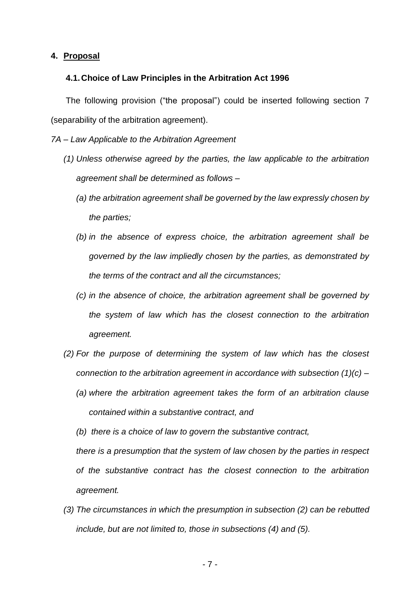### **4. Proposal**

#### **4.1.Choice of Law Principles in the Arbitration Act 1996**

The following provision ("the proposal") could be inserted following section 7 (separability of the arbitration agreement).

*7A – Law Applicable to the Arbitration Agreement* 

- *(1) Unless otherwise agreed by the parties, the law applicable to the arbitration agreement shall be determined as follows –*
	- *(a) the arbitration agreement shall be governed by the law expressly chosen by the parties;*
	- *(b) in the absence of express choice, the arbitration agreement shall be governed by the law impliedly chosen by the parties, as demonstrated by the terms of the contract and all the circumstances;*
	- *(c) in the absence of choice, the arbitration agreement shall be governed by the system of law which has the closest connection to the arbitration agreement.*
- *(2) For the purpose of determining the system of law which has the closest connection to the arbitration agreement in accordance with subsection (1)(c) –*
	- *(a) where the arbitration agreement takes the form of an arbitration clause contained within a substantive contract, and*
	- *(b) there is a choice of law to govern the substantive contract,*

*there is a presumption that the system of law chosen by the parties in respect of the substantive contract has the closest connection to the arbitration agreement.* 

*(3) The circumstances in which the presumption in subsection (2) can be rebutted include, but are not limited to, those in subsections (4) and (5).*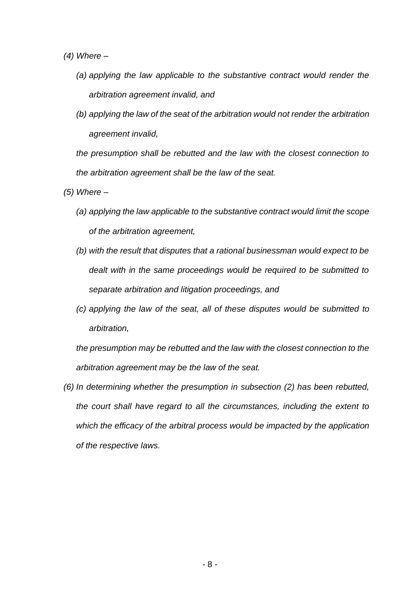*(4) Where –*

- *(a) applying the law applicable to the substantive contract would render the arbitration agreement invalid, and*
- *(b) applying the law of the seat of the arbitration would not render the arbitration agreement invalid,*

*the presumption shall be rebutted and the law with the closest connection to the arbitration agreement shall be the law of the seat.* 

*(5) Where –*

- *(a) applying the law applicable to the substantive contract would limit the scope of the arbitration agreement,*
- *(b) with the result that disputes that a rational businessman would expect to be dealt with in the same proceedings would be required to be submitted to separate arbitration and litigation proceedings, and*
- *(c) applying the law of the seat, all of these disputes would be submitted to arbitration,*

*the presumption may be rebutted and the law with the closest connection to the arbitration agreement may be the law of the seat.*

*(6) In determining whether the presumption in subsection (2) has been rebutted, the court shall have regard to all the circumstances, including the extent to which the efficacy of the arbitral process would be impacted by the application of the respective laws.*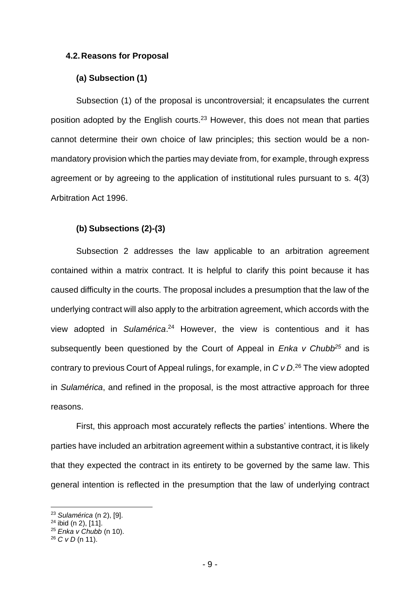#### **4.2.Reasons for Proposal**

### **(a) Subsection (1)**

Subsection (1) of the proposal is uncontroversial; it encapsulates the current position adopted by the English courts.<sup>23</sup> However, this does not mean that parties cannot determine their own choice of law principles; this section would be a nonmandatory provision which the parties may deviate from, for example, through express agreement or by agreeing to the application of institutional rules pursuant to s. 4(3) Arbitration Act 1996.

#### **(b) Subsections (2)-(3)**

Subsection 2 addresses the law applicable to an arbitration agreement contained within a matrix contract. It is helpful to clarify this point because it has caused difficulty in the courts. The proposal includes a presumption that the law of the underlying contract will also apply to the arbitration agreement, which accords with the view adopted in *Sulamérica*. <sup>24</sup> However, the view is contentious and it has subsequently been questioned by the Court of Appeal in *Enka v Chubb<sup>25</sup>* and is contrary to previous Court of Appeal rulings, for example, in *C v D*. <sup>26</sup> The view adopted in *Sulamérica*, and refined in the proposal, is the most attractive approach for three reasons.

First, this approach most accurately reflects the parties' intentions. Where the parties have included an arbitration agreement within a substantive contract, it is likely that they expected the contract in its entirety to be governed by the same law. This general intention is reflected in the presumption that the law of underlying contract

<sup>23</sup> *Sulamérica* (n 2), [9].

 $24$  ibid (n 2),  $[11]$ .

<sup>25</sup> *Enka v Chubb* (n 10).

<sup>26</sup> *C v D* (n 11).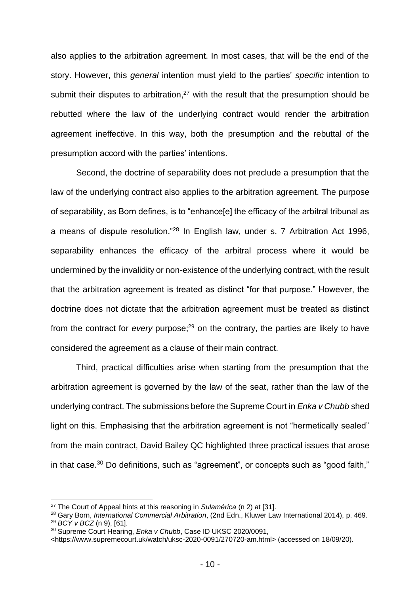also applies to the arbitration agreement. In most cases, that will be the end of the story. However, this *general* intention must yield to the parties' *specific* intention to submit their disputes to arbitration, $27$  with the result that the presumption should be rebutted where the law of the underlying contract would render the arbitration agreement ineffective. In this way, both the presumption and the rebuttal of the presumption accord with the parties' intentions.

Second, the doctrine of separability does not preclude a presumption that the law of the underlying contract also applies to the arbitration agreement. The purpose of separability, as Born defines, is to "enhance[e] the efficacy of the arbitral tribunal as a means of dispute resolution."<sup>28</sup> In English law, under s. 7 Arbitration Act 1996, separability enhances the efficacy of the arbitral process where it would be undermined by the invalidity or non-existence of the underlying contract, with the result that the arbitration agreement is treated as distinct "for that purpose." However, the doctrine does not dictate that the arbitration agreement must be treated as distinct from the contract for *every* purpose;<sup>29</sup> on the contrary, the parties are likely to have considered the agreement as a clause of their main contract.

Third, practical difficulties arise when starting from the presumption that the arbitration agreement is governed by the law of the seat, rather than the law of the underlying contract. The submissions before the Supreme Court in *Enka v Chubb* shed light on this. Emphasising that the arbitration agreement is not "hermetically sealed" from the main contract, David Bailey QC highlighted three practical issues that arose in that case.<sup>30</sup> Do definitions, such as "agreement", or concepts such as "good faith,"

<sup>27</sup> The Court of Appeal hints at this reasoning in *Sulamérica* (n 2) at [31].

<sup>28</sup> Gary Born, *International Commercial Arbitration*, (2nd Edn., Kluwer Law International 2014), p. 469. <sup>29</sup> *BCY v BCZ* (n 9), [61].

<sup>30</sup> Supreme Court Hearing, *Enka v Chubb*, Case ID UKSC 2020/0091,

<sup>&</sup>lt;https://www.supremecourt.uk/watch/uksc-2020-0091/270720-am.html> (accessed on 18/09/20).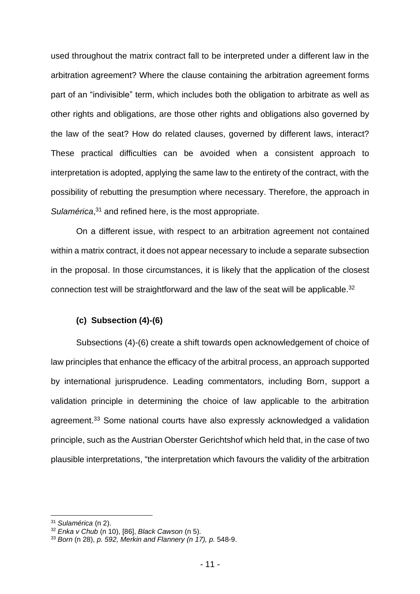used throughout the matrix contract fall to be interpreted under a different law in the arbitration agreement? Where the clause containing the arbitration agreement forms part of an "indivisible" term, which includes both the obligation to arbitrate as well as other rights and obligations, are those other rights and obligations also governed by the law of the seat? How do related clauses, governed by different laws, interact? These practical difficulties can be avoided when a consistent approach to interpretation is adopted, applying the same law to the entirety of the contract, with the possibility of rebutting the presumption where necessary. Therefore, the approach in Sulamérica,<sup>31</sup> and refined here, is the most appropriate.

On a different issue, with respect to an arbitration agreement not contained within a matrix contract, it does not appear necessary to include a separate subsection in the proposal. In those circumstances, it is likely that the application of the closest connection test will be straightforward and the law of the seat will be applicable.<sup>32</sup>

#### **(c) Subsection (4)-(6)**

Subsections (4)-(6) create a shift towards open acknowledgement of choice of law principles that enhance the efficacy of the arbitral process, an approach supported by international jurisprudence. Leading commentators, including Born, support a validation principle in determining the choice of law applicable to the arbitration agreement.<sup>33</sup> Some national courts have also expressly acknowledged a validation principle, such as the Austrian Oberster Gerichtshof which held that, in the case of two plausible interpretations, "the interpretation which favours the validity of the arbitration

<sup>31</sup> *Sulamérica* (n 2).

<sup>32</sup> *Enka v Chub* (n 10), [86], *Black Cawson* (n 5).

<sup>33</sup> *Born* (n 28), *p. 592, Merkin and Flannery (n 17), p.* 548-9.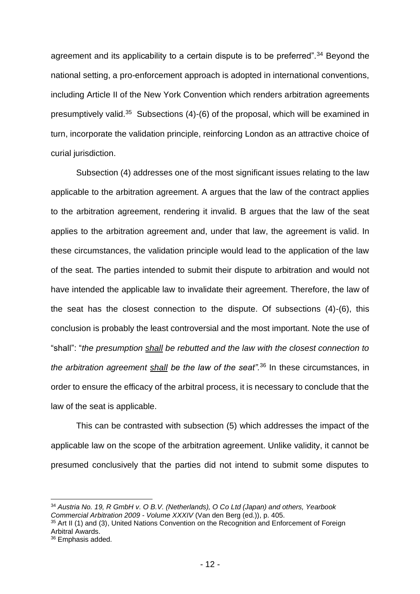agreement and its applicability to a certain dispute is to be preferred".<sup>34</sup> Beyond the national setting, a pro-enforcement approach is adopted in international conventions, including Article II of the New York Convention which renders arbitration agreements presumptively valid.<sup>35</sup> Subsections (4)-(6) of the proposal, which will be examined in turn, incorporate the validation principle, reinforcing London as an attractive choice of curial jurisdiction.

Subsection (4) addresses one of the most significant issues relating to the law applicable to the arbitration agreement. A argues that the law of the contract applies to the arbitration agreement, rendering it invalid. B argues that the law of the seat applies to the arbitration agreement and, under that law, the agreement is valid. In these circumstances, the validation principle would lead to the application of the law of the seat. The parties intended to submit their dispute to arbitration and would not have intended the applicable law to invalidate their agreement. Therefore, the law of the seat has the closest connection to the dispute. Of subsections (4)-(6), this conclusion is probably the least controversial and the most important. Note the use of "shall": "*the presumption shall be rebutted and the law with the closest connection to the arbitration agreement shall be the law of the seat".*<sup>36</sup> In these circumstances, in order to ensure the efficacy of the arbitral process, it is necessary to conclude that the law of the seat is applicable.

This can be contrasted with subsection (5) which addresses the impact of the applicable law on the scope of the arbitration agreement. Unlike validity, it cannot be presumed conclusively that the parties did not intend to submit some disputes to

<sup>34</sup> *Austria No. 19, R GmbH v. O B.V. (Netherlands), O Co Ltd (Japan) and others, Yearbook Commercial Arbitration 2009 - Volume XXXIV* (Van den Berg (ed.)), p. 405.

<sup>35</sup> Art II (1) and (3), United Nations Convention on the Recognition and Enforcement of Foreign Arbitral Awards.

<sup>36</sup> Emphasis added.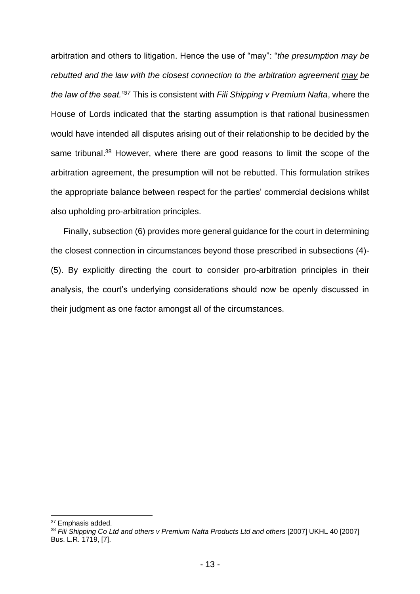arbitration and others to litigation. Hence the use of "may": "*the presumption may be rebutted and the law with the closest connection to the arbitration agreement may be the law of the seat."<sup>37</sup>* This is consistent with *Fili Shipping v Premium Nafta*, where the House of Lords indicated that the starting assumption is that rational businessmen would have intended all disputes arising out of their relationship to be decided by the same tribunal.<sup>38</sup> However, where there are good reasons to limit the scope of the arbitration agreement, the presumption will not be rebutted. This formulation strikes the appropriate balance between respect for the parties' commercial decisions whilst also upholding pro-arbitration principles.

Finally, subsection (6) provides more general guidance for the court in determining the closest connection in circumstances beyond those prescribed in subsections (4)- (5). By explicitly directing the court to consider pro-arbitration principles in their analysis, the court's underlying considerations should now be openly discussed in their judgment as one factor amongst all of the circumstances.

<sup>37</sup> Emphasis added.

<sup>38</sup> *Fili Shipping Co Ltd and others v Premium Nafta Products Ltd and others* [2007] UKHL 40 [2007] Bus. L.R. 1719, [7].